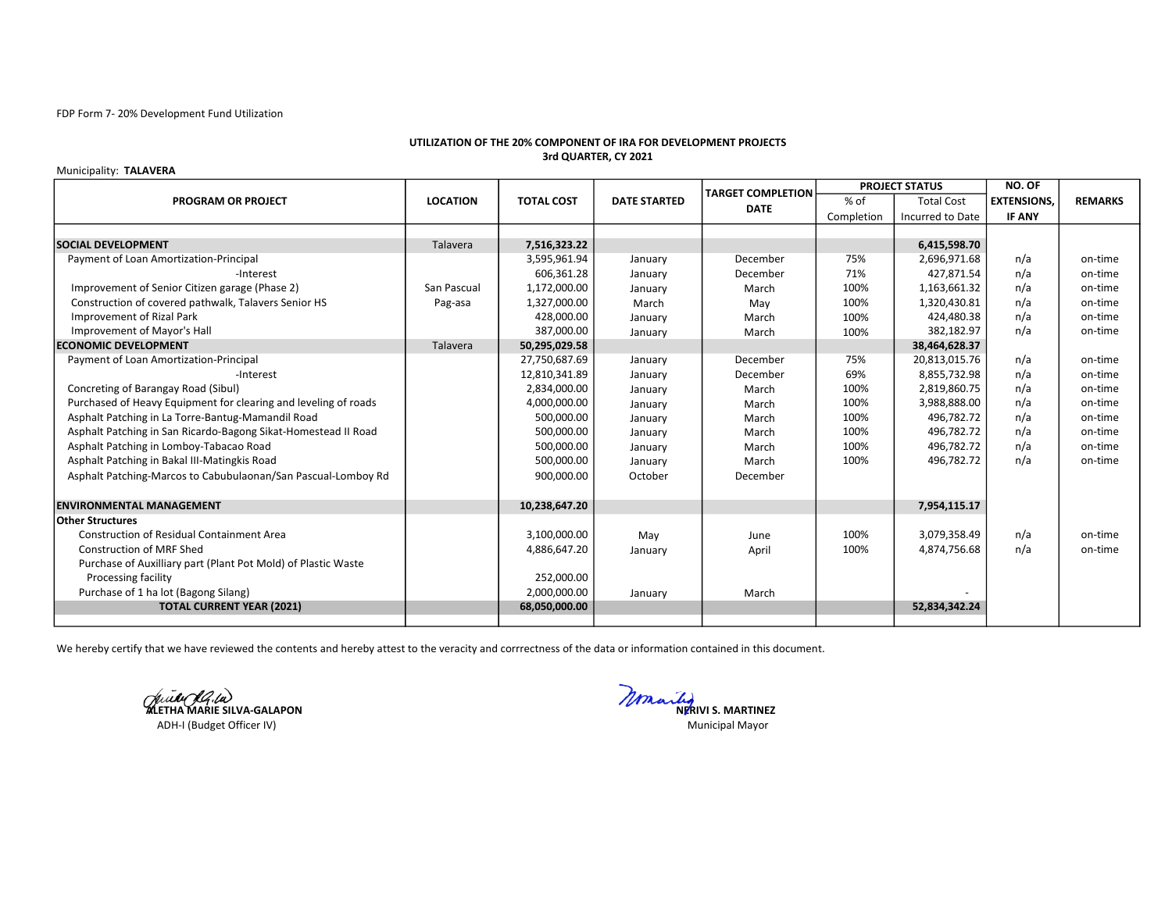### FDP Form 7- 20% Development Fund Utilization

## UTILIZATION OF THE 20% COMPONENT OF IRA FOR DEVELOPMENT PROJECTS 3rd QUARTER, CY 2021

#### Municipality: TALAVERA

|                                                                 |                 |                   |                     | <b>TARGET COMPLETION</b> | <b>PROJECT STATUS</b> |                   | NO. OF            |                |
|-----------------------------------------------------------------|-----------------|-------------------|---------------------|--------------------------|-----------------------|-------------------|-------------------|----------------|
| <b>PROGRAM OR PROJECT</b>                                       | <b>LOCATION</b> | <b>TOTAL COST</b> | <b>DATE STARTED</b> | <b>DATE</b>              | $%$ of                | <b>Total Cost</b> | <b>EXTENSIONS</b> | <b>REMARKS</b> |
|                                                                 |                 |                   |                     |                          | Completion            | Incurred to Date  | <b>IF ANY</b>     |                |
|                                                                 |                 |                   |                     |                          |                       |                   |                   |                |
| <b>SOCIAL DEVELOPMENT</b>                                       | Talavera        | 7,516,323.22      |                     |                          |                       | 6,415,598.70      |                   |                |
| Payment of Loan Amortization-Principal                          |                 | 3,595,961.94      | January             | December                 | 75%                   | 2,696,971.68      | n/a               | on-time        |
| -Interest                                                       |                 | 606,361.28        | January             | December                 | 71%                   | 427,871.54        | n/a               | on-time        |
| Improvement of Senior Citizen garage (Phase 2)                  | San Pascual     | 1,172,000.00      | January             | March                    | 100%                  | 1,163,661.32      | n/a               | on-time        |
| Construction of covered pathwalk, Talavers Senior HS            | Pag-asa         | 1,327,000.00      | March               | May                      | 100%                  | 1,320,430.81      | n/a               | on-time        |
| Improvement of Rizal Park                                       |                 | 428,000.00        | January             | March                    | 100%                  | 424,480.38        | n/a               | on-time        |
| Improvement of Mayor's Hall                                     |                 | 387,000.00        | January             | March                    | 100%                  | 382,182.97        | n/a               | on-time        |
| <b>ECONOMIC DEVELOPMENT</b>                                     | Talavera        | 50,295,029.58     |                     |                          |                       | 38,464,628.37     |                   |                |
| Payment of Loan Amortization-Principal                          |                 | 27,750,687.69     | January             | December                 | 75%                   | 20,813,015.76     | n/a               | on-time        |
| -Interest                                                       |                 | 12,810,341.89     | January             | December                 | 69%                   | 8,855,732.98      | n/a               | on-time        |
| Concreting of Barangay Road (Sibul)                             |                 | 2,834,000.00      | January             | March                    | 100%                  | 2,819,860.75      | n/a               | on-time        |
| Purchased of Heavy Equipment for clearing and leveling of roads |                 | 4,000,000.00      | January             | March                    | 100%                  | 3,988,888.00      | n/a               | on-time        |
| Asphalt Patching in La Torre-Bantug-Mamandil Road               |                 | 500,000.00        | January             | March                    | 100%                  | 496,782.72        | n/a               | on-time        |
| Asphalt Patching in San Ricardo-Bagong Sikat-Homestead II Road  |                 | 500,000.00        | January             | March                    | 100%                  | 496,782.72        | n/a               | on-time        |
| Asphalt Patching in Lomboy-Tabacao Road                         |                 | 500,000.00        | January             | March                    | 100%                  | 496,782.72        | n/a               | on-time        |
| Asphalt Patching in Bakal III-Matingkis Road                    |                 | 500,000.00        | January             | March                    | 100%                  | 496,782.72        | n/a               | on-time        |
| Asphalt Patching-Marcos to Cabubulaonan/San Pascual-Lomboy Rd   |                 | 900,000.00        | October             | December                 |                       |                   |                   |                |
|                                                                 |                 |                   |                     |                          |                       |                   |                   |                |
| <b>ENVIRONMENTAL MANAGEMENT</b>                                 |                 | 10,238,647.20     |                     |                          |                       | 7,954,115.17      |                   |                |
| <b>Other Structures</b>                                         |                 |                   |                     |                          |                       |                   |                   |                |
| <b>Construction of Residual Containment Area</b>                |                 | 3,100,000.00      | May                 | June                     | 100%                  | 3,079,358.49      | n/a               | on-time        |
| <b>Construction of MRF Shed</b>                                 |                 | 4,886,647.20      | January             | April                    | 100%                  | 4,874,756.68      | n/a               | on-time        |
| Purchase of Auxilliary part (Plant Pot Mold) of Plastic Waste   |                 |                   |                     |                          |                       |                   |                   |                |
| Processing facility                                             |                 | 252,000.00        |                     |                          |                       |                   |                   |                |
| Purchase of 1 ha lot (Bagong Silang)                            |                 | 2,000,000.00      | January             | March                    |                       |                   |                   |                |
| <b>TOTAL CURRENT YEAR (2021)</b>                                |                 | 68,050,000.00     |                     |                          |                       | 52,834,342.24     |                   |                |
|                                                                 |                 |                   |                     |                          |                       |                   |                   |                |

We hereby certify that we have reviewed the contents and hereby attest to the veracity and corrrectness of the data or information contained in this document.

ADH-I (Budget Officer IV)

Ville (1914)<br>ALETHA MARIE SILVA-GALAPON Municipal Mayor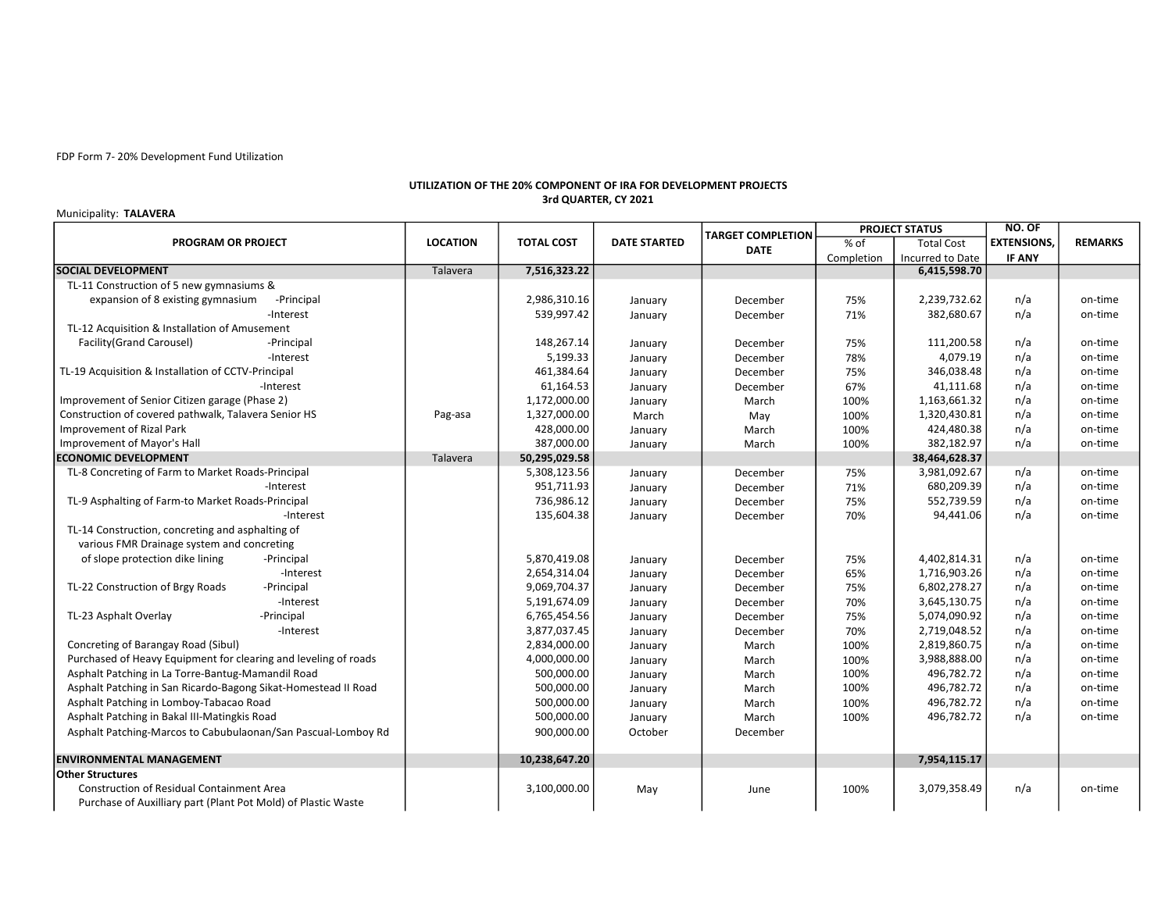FDP Form 7- 20% Development Fund Utilization

## UTILIZATION OF THE 20% COMPONENT OF IRA FOR DEVELOPMENT PROJECTS 3rd QUARTER, CY 2021

# Municipality: TALAVERA

| PROGRAM OR PROJECT                                              | <b>LOCATION</b> | <b>TOTAL COST</b> | <b>DATE STARTED</b> | <b>TARGET COMPLETION</b><br><b>DATE</b> | <b>PROJECT STATUS</b> |                   | NO. OF             |                |
|-----------------------------------------------------------------|-----------------|-------------------|---------------------|-----------------------------------------|-----------------------|-------------------|--------------------|----------------|
|                                                                 |                 |                   |                     |                                         | % of                  | <b>Total Cost</b> | <b>EXTENSIONS,</b> | <b>REMARKS</b> |
|                                                                 |                 |                   |                     |                                         | Completion            | Incurred to Date  | <b>IF ANY</b>      |                |
| <b>SOCIAL DEVELOPMENT</b>                                       | Talavera        | 7,516,323.22      |                     |                                         |                       | 6,415,598.70      |                    |                |
| TL-11 Construction of 5 new gymnasiums &                        |                 |                   |                     |                                         |                       |                   |                    |                |
| expansion of 8 existing gymnasium<br>-Principal                 |                 | 2,986,310.16      | January             | December                                | 75%                   | 2,239,732.62      | n/a                | on-time        |
| -Interest                                                       |                 | 539,997.42        | January             | December                                | 71%                   | 382,680.67        | n/a                | on-time        |
| TL-12 Acquisition & Installation of Amusement                   |                 |                   |                     |                                         |                       |                   |                    |                |
| Facility(Grand Carousel)<br>-Principal                          |                 | 148,267.14        | January             | December                                | 75%                   | 111,200.58        | n/a                | on-time        |
| -Interest                                                       |                 | 5,199.33          | January             | December                                | 78%                   | 4,079.19          | n/a                | on-time        |
| TL-19 Acquisition & Installation of CCTV-Principal              |                 | 461,384.64        | January             | December                                | 75%                   | 346,038.48        | n/a                | on-time        |
| -Interest                                                       |                 | 61,164.53         | January             | December                                | 67%                   | 41,111.68         | n/a                | on-time        |
| Improvement of Senior Citizen garage (Phase 2)                  |                 | 1,172,000.00      | January             | March                                   | 100%                  | 1,163,661.32      | n/a                | on-time        |
| Construction of covered pathwalk, Talavera Senior HS            | Pag-asa         | 1,327,000.00      | March               | May                                     | 100%                  | 1,320,430.81      | n/a                | on-time        |
| <b>Improvement of Rizal Park</b>                                |                 | 428,000.00        | January             | March                                   | 100%                  | 424,480.38        | n/a                | on-time        |
| Improvement of Mayor's Hall                                     |                 | 387,000.00        | January             | March                                   | 100%                  | 382,182.97        | n/a                | on-time        |
| <b>ECONOMIC DEVELOPMENT</b>                                     | Talavera        | 50,295,029.58     |                     |                                         |                       | 38,464,628.37     |                    |                |
| TL-8 Concreting of Farm to Market Roads-Principal               |                 | 5,308,123.56      | January             | December                                | 75%                   | 3,981,092.67      | n/a                | on-time        |
| -Interest                                                       |                 | 951,711.93        | January             | December                                | 71%                   | 680,209.39        | n/a                | on-time        |
| TL-9 Asphalting of Farm-to Market Roads-Principal               |                 | 736,986.12        | January             | December                                | 75%                   | 552,739.59        | n/a                | on-time        |
| -Interest                                                       |                 | 135,604.38        | January             | December                                | 70%                   | 94,441.06         | n/a                | on-time        |
| TL-14 Construction, concreting and asphalting of                |                 |                   |                     |                                         |                       |                   |                    |                |
| various FMR Drainage system and concreting                      |                 |                   |                     |                                         |                       |                   |                    |                |
| of slope protection dike lining<br>-Principal                   |                 | 5,870,419.08      | January             | December                                | 75%                   | 4,402,814.31      | n/a                | on-time        |
| -Interest                                                       |                 | 2,654,314.04      | January             | December                                | 65%                   | 1,716,903.26      | n/a                | on-time        |
| TL-22 Construction of Brgy Roads<br>-Principal                  |                 | 9,069,704.37      | January             | December                                | 75%                   | 6,802,278.27      | n/a                | on-time        |
| -Interest                                                       |                 | 5,191,674.09      | January             | December                                | 70%                   | 3,645,130.75      | n/a                | on-time        |
| TL-23 Asphalt Overlay<br>-Principal                             |                 | 6,765,454.56      | January             | December                                | 75%                   | 5,074,090.92      | n/a                | on-time        |
| -Interest                                                       |                 | 3,877,037.45      | January             | December                                | 70%                   | 2,719,048.52      | n/a                | on-time        |
| Concreting of Barangay Road (Sibul)                             |                 | 2,834,000.00      | January             | March                                   | 100%                  | 2,819,860.75      | n/a                | on-time        |
| Purchased of Heavy Equipment for clearing and leveling of roads |                 | 4,000,000.00      | January             | March                                   | 100%                  | 3,988,888.00      | n/a                | on-time        |
| Asphalt Patching in La Torre-Bantug-Mamandil Road               |                 | 500,000.00        | January             | March                                   | 100%                  | 496,782.72        | n/a                | on-time        |
| Asphalt Patching in San Ricardo-Bagong Sikat-Homestead II Road  |                 | 500,000.00        | January             | March                                   | 100%                  | 496,782.72        | n/a                | on-time        |
| Asphalt Patching in Lomboy-Tabacao Road                         |                 | 500,000.00        | January             | March                                   | 100%                  | 496,782.72        | n/a                | on-time        |
| Asphalt Patching in Bakal III-Matingkis Road                    |                 | 500,000.00        | January             | March                                   | 100%                  | 496,782.72        | n/a                | on-time        |
| Asphalt Patching-Marcos to Cabubulaonan/San Pascual-Lomboy Rd   |                 | 900,000.00        | October             | December                                |                       |                   |                    |                |
| <b>ENVIRONMENTAL MANAGEMENT</b>                                 |                 | 10,238,647.20     |                     |                                         |                       | 7,954,115.17      |                    |                |
| <b>Other Structures</b>                                         |                 |                   |                     |                                         |                       |                   |                    |                |
| <b>Construction of Residual Containment Area</b>                |                 | 3,100,000.00      | May                 | June                                    | 100%                  | 3,079,358.49      | n/a                | on-time        |
| Purchase of Auxilliary part (Plant Pot Mold) of Plastic Waste   |                 |                   |                     |                                         |                       |                   |                    |                |